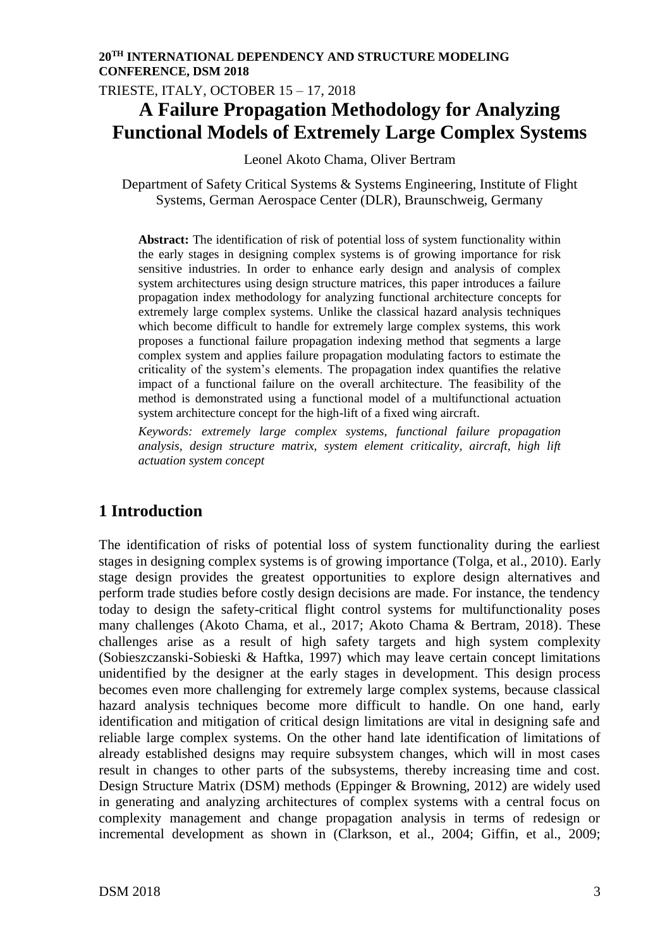TRIESTE, ITALY, OCTOBER 15 – 17, 2018

# **A Failure Propagation Methodology for Analyzing Functional Models of Extremely Large Complex Systems**

Leonel Akoto Chama, Oliver Bertram

Department of Safety Critical Systems & Systems Engineering, Institute of Flight Systems, German Aerospace Center (DLR), Braunschweig, Germany

**Abstract:** The identification of risk of potential loss of system functionality within the early stages in designing complex systems is of growing importance for risk sensitive industries. In order to enhance early design and analysis of complex system architectures using design structure matrices, this paper introduces a failure propagation index methodology for analyzing functional architecture concepts for extremely large complex systems. Unlike the classical hazard analysis techniques which become difficult to handle for extremely large complex systems, this work proposes a functional failure propagation indexing method that segments a large complex system and applies failure propagation modulating factors to estimate the criticality of the system's elements. The propagation index quantifies the relative impact of a functional failure on the overall architecture. The feasibility of the method is demonstrated using a functional model of a multifunctional actuation system architecture concept for the high-lift of a fixed wing aircraft.

*Keywords: extremely large complex systems, functional failure propagation analysis, design structure matrix, system element criticality, aircraft, high lift actuation system concept*

## **1 Introduction**

The identification of risks of potential loss of system functionality during the earliest stages in designing complex systems is of growing importance (Tolga, et al., 2010). Early stage design provides the greatest opportunities to explore design alternatives and perform trade studies before costly design decisions are made. For instance, the tendency today to design the safety-critical flight control systems for multifunctionality poses many challenges (Akoto Chama, et al., 2017; Akoto Chama & Bertram, 2018). These challenges arise as a result of high safety targets and high system complexity (Sobieszczanski-Sobieski & Haftka, 1997) which may leave certain concept limitations unidentified by the designer at the early stages in development. This design process becomes even more challenging for extremely large complex systems, because classical hazard analysis techniques become more difficult to handle. On one hand, early identification and mitigation of critical design limitations are vital in designing safe and reliable large complex systems. On the other hand late identification of limitations of already established designs may require subsystem changes, which will in most cases result in changes to other parts of the subsystems, thereby increasing time and cost. Design Structure Matrix (DSM) methods (Eppinger & Browning, 2012) are widely used in generating and analyzing architectures of complex systems with a central focus on complexity management and change propagation analysis in terms of redesign or incremental development as shown in (Clarkson, et al., 2004; Giffin, et al., 2009;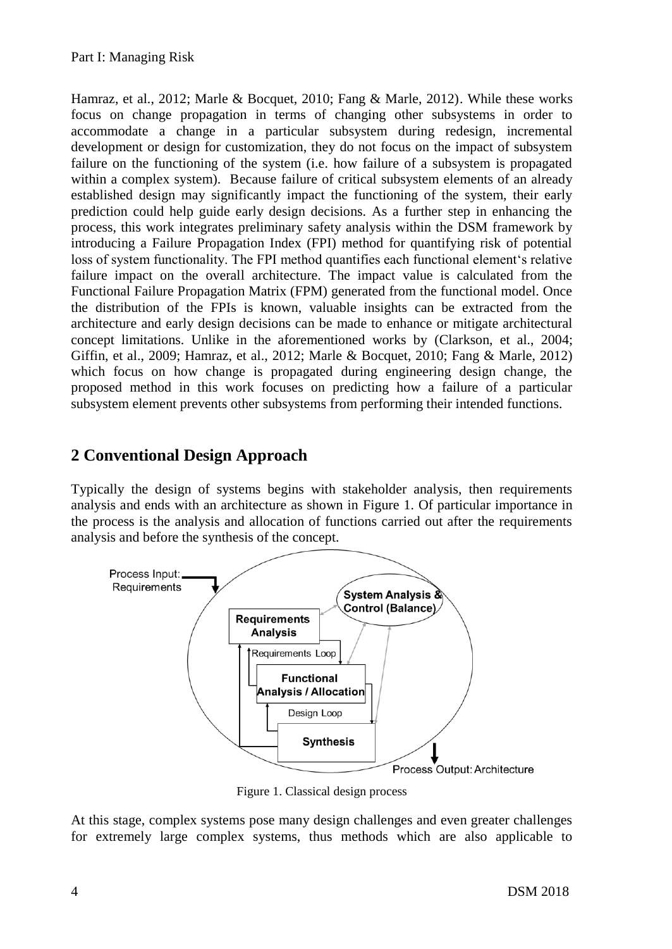Hamraz, et al., 2012; Marle & Bocquet, 2010; Fang & Marle, 2012). While these works focus on change propagation in terms of changing other subsystems in order to accommodate a change in a particular subsystem during redesign, incremental development or design for customization, they do not focus on the impact of subsystem failure on the functioning of the system (i.e. how failure of a subsystem is propagated within a complex system). Because failure of critical subsystem elements of an already established design may significantly impact the functioning of the system, their early prediction could help guide early design decisions. As a further step in enhancing the process, this work integrates preliminary safety analysis within the DSM framework by introducing a Failure Propagation Index (FPI) method for quantifying risk of potential loss of system functionality. The FPI method quantifies each functional element's relative failure impact on the overall architecture. The impact value is calculated from the Functional Failure Propagation Matrix (FPM) generated from the functional model. Once the distribution of the FPIs is known, valuable insights can be extracted from the architecture and early design decisions can be made to enhance or mitigate architectural concept limitations. Unlike in the aforementioned works by (Clarkson, et al., 2004; Giffin, et al., 2009; Hamraz, et al., 2012; Marle & Bocquet, 2010; Fang & Marle, 2012) which focus on how change is propagated during engineering design change, the proposed method in this work focuses on predicting how a failure of a particular subsystem element prevents other subsystems from performing their intended functions.

## **2 Conventional Design Approach**

Typically the design of systems begins with stakeholder analysis, then requirements analysis and ends with an architecture as shown in [Figure 1.](#page-1-0) Of particular importance in the process is the analysis and allocation of functions carried out after the requirements analysis and before the synthesis of the concept.



Figure 1. Classical design process

<span id="page-1-0"></span>At this stage, complex systems pose many design challenges and even greater challenges for extremely large complex systems, thus methods which are also applicable to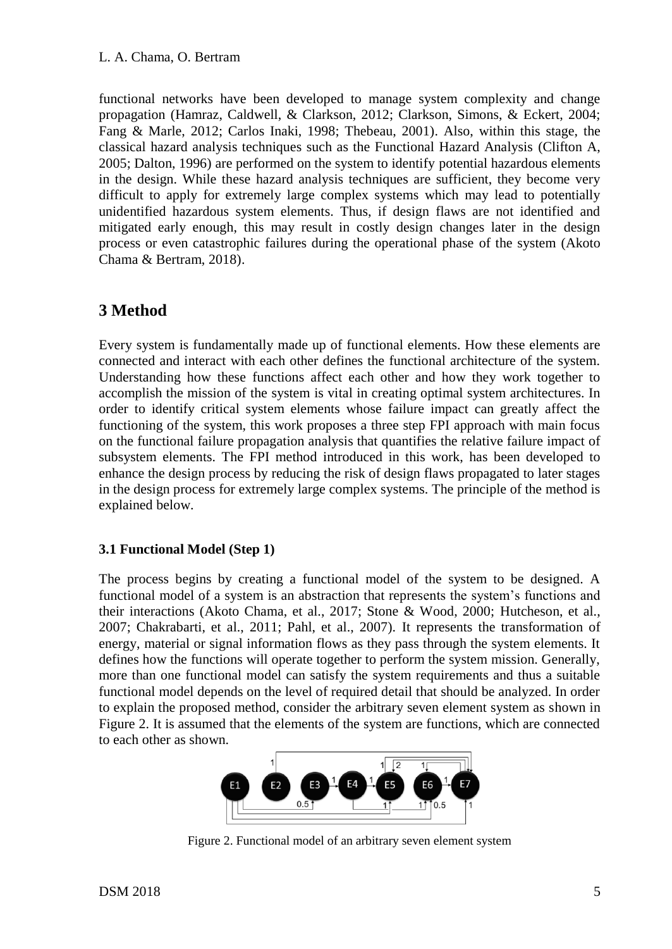functional networks have been developed to manage system complexity and change propagation (Hamraz, Caldwell, & Clarkson, 2012; Clarkson, Simons, & Eckert, 2004; Fang & Marle, 2012; Carlos Inaki, 1998; Thebeau, 2001). Also, within this stage, the classical hazard analysis techniques such as the Functional Hazard Analysis (Clifton A, 2005; Dalton, 1996) are performed on the system to identify potential hazardous elements in the design. While these hazard analysis techniques are sufficient, they become very difficult to apply for extremely large complex systems which may lead to potentially unidentified hazardous system elements. Thus, if design flaws are not identified and mitigated early enough, this may result in costly design changes later in the design process or even catastrophic failures during the operational phase of the system (Akoto Chama & Bertram, 2018).

### **3 Method**

Every system is fundamentally made up of functional elements. How these elements are connected and interact with each other defines the functional architecture of the system. Understanding how these functions affect each other and how they work together to accomplish the mission of the system is vital in creating optimal system architectures. In order to identify critical system elements whose failure impact can greatly affect the functioning of the system, this work proposes a three step FPI approach with main focus on the functional failure propagation analysis that quantifies the relative failure impact of subsystem elements. The FPI method introduced in this work, has been developed to enhance the design process by reducing the risk of design flaws propagated to later stages in the design process for extremely large complex systems. The principle of the method is explained below.

#### **3.1 Functional Model (Step 1)**

The process begins by creating a functional model of the system to be designed. A functional model of a system is an abstraction that represents the system's functions and their interactions (Akoto Chama, et al., 2017; Stone & Wood, 2000; Hutcheson, et al., 2007; Chakrabarti, et al., 2011; Pahl, et al., 2007). It represents the transformation of energy, material or signal information flows as they pass through the system elements. It defines how the functions will operate together to perform the system mission. Generally, more than one functional model can satisfy the system requirements and thus a suitable functional model depends on the level of required detail that should be analyzed. In order to explain the proposed method, consider the arbitrary seven element system as shown in [Figure 2.](#page-2-0) It is assumed that the elements of the system are functions, which are connected to each other as shown.



<span id="page-2-0"></span>Figure 2. Functional model of an arbitrary seven element system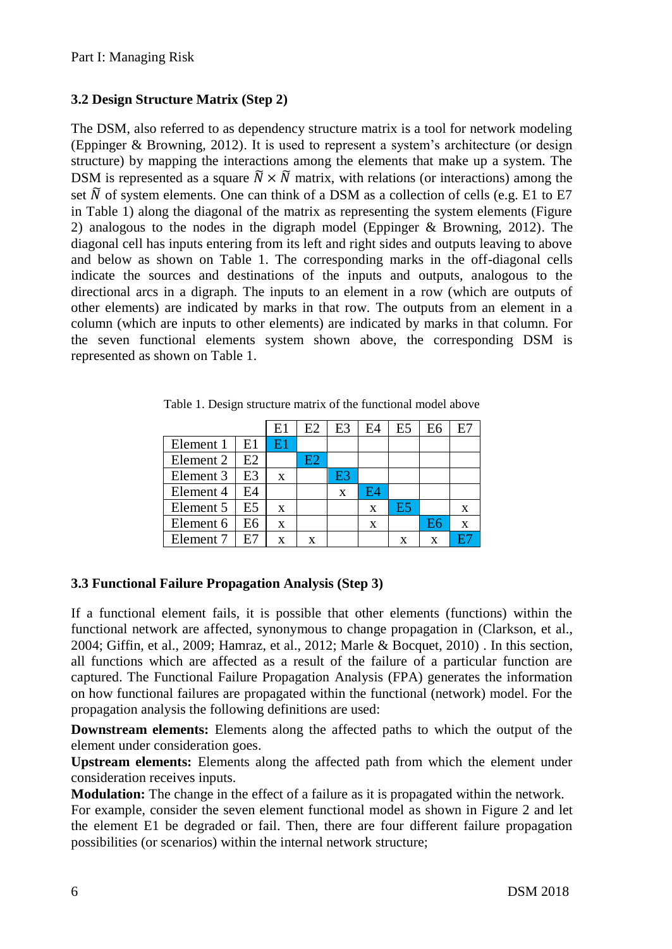### **3.2 Design Structure Matrix (Step 2)**

The DSM, also referred to as dependency structure matrix is a tool for network modeling (Eppinger & Browning, 2012). It is used to represent a system's architecture (or design structure) by mapping the interactions among the elements that make up a system. The DSM is represented as a square  $\tilde{N} \times \tilde{N}$  matrix, with relations (or interactions) among the set  $\tilde{N}$  of system elements. One can think of a DSM as a collection of cells (e.g. E1 to E7 in Table 1) along the diagonal of the matrix as representing the system elements (Figure 2) analogous to the nodes in the digraph model (Eppinger & Browning, 2012). The diagonal cell has inputs entering from its left and right sides and outputs leaving to above and below as shown on Table 1. The corresponding marks in the off-diagonal cells indicate the sources and destinations of the inputs and outputs, analogous to the directional arcs in a digraph. The inputs to an element in a row (which are outputs of other elements) are indicated by marks in that row. The outputs from an element in a column (which are inputs to other elements) are indicated by marks in that column. For the seven functional elements system shown above, the corresponding DSM is represented as shown on Table 1.

|  |           |    | E1 | E2 | E <sub>3</sub> | E4 | E <sub>5</sub> | E <sub>6</sub> | E7 |
|--|-----------|----|----|----|----------------|----|----------------|----------------|----|
|  | Element 1 | E1 | E1 |    |                |    |                |                |    |
|  | Element 2 | E2 |    | E2 |                |    |                |                |    |
|  | Element 3 | E3 | X  |    | E3             |    |                |                |    |
|  | Element 4 | E4 |    |    | X              | F4 |                |                |    |
|  | Element 5 | E5 | X  |    |                | X  | E5             |                | X  |
|  | Element 6 | E6 | X  |    |                | X  |                | E6             | X  |
|  | Element 7 | E7 | X  | X  |                |    | X              | X              |    |

Table 1. Design structure matrix of the functional model above

#### **3.3 Functional Failure Propagation Analysis (Step 3)**

If a functional element fails, it is possible that other elements (functions) within the functional network are affected, synonymous to change propagation in (Clarkson, et al., 2004; Giffin, et al., 2009; Hamraz, et al., 2012; Marle & Bocquet, 2010) . In this section, all functions which are affected as a result of the failure of a particular function are captured. The Functional Failure Propagation Analysis (FPA) generates the information on how functional failures are propagated within the functional (network) model. For the propagation analysis the following definitions are used:

**Downstream elements:** Elements along the affected paths to which the output of the element under consideration goes.

**Upstream elements:** Elements along the affected path from which the element under consideration receives inputs.

**Modulation:** The change in the effect of a failure as it is propagated within the network.

For example, consider the seven element functional model as shown in [Figure 2](#page-2-0) and let the element E1 be degraded or fail. Then, there are four different failure propagation possibilities (or scenarios) within the internal network structure;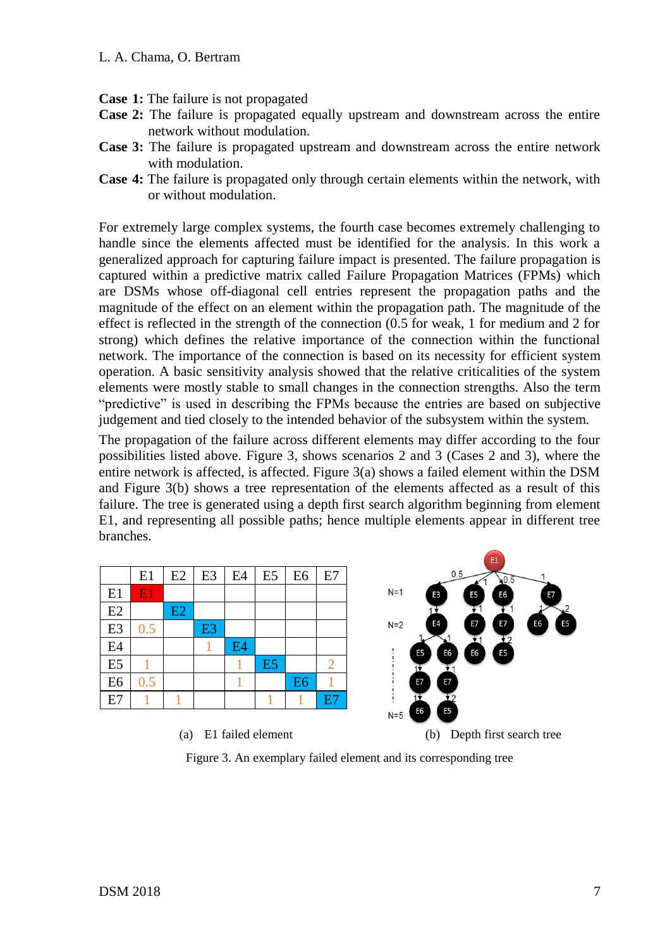- **Case 1:** The failure is not propagated
- **Case 2:** The failure is propagated equally upstream and downstream across the entire network without modulation.
- **Case 3:** The failure is propagated upstream and downstream across the entire network with modulation.
- **Case 4:** The failure is propagated only through certain elements within the network, with or without modulation.

For extremely large complex systems, the fourth case becomes extremely challenging to handle since the elements affected must be identified for the analysis. In this work a generalized approach for capturing failure impact is presented. The failure propagation is captured within a predictive matrix called Failure Propagation Matrices (FPMs) which are DSMs whose off-diagonal cell entries represent the propagation paths and the magnitude of the effect on an element within the propagation path. The magnitude of the effect is reflected in the strength of the connection (0.5 for weak, 1 for medium and 2 for strong) which defines the relative importance of the connection within the functional network. The importance of the connection is based on its necessity for efficient system operation. A basic sensitivity analysis showed that the relative criticalities of the system elements were mostly stable to small changes in the connection strengths. Also the term "predictive" is used in describing the FPMs because the entries are based on subjective judgement and tied closely to the intended behavior of the subsystem within the system.

The propagation of the failure across different elements may differ according to the four possibilities listed above. Figure 3, shows scenarios 2 and 3 (Cases 2 and 3), where the entire network is affected, is affected. Figure  $3(a)$  shows a failed element within the DSM and Figure 3(b) shows a tree representation of the elements affected as a result of this failure. The tree is generated using a depth first search algorithm beginning from element E1, and representing all possible paths; hence multiple elements appear in different tree branches.

|                |     |                |                |    |                |                |    |             |                | E1                                               |    |
|----------------|-----|----------------|----------------|----|----------------|----------------|----|-------------|----------------|--------------------------------------------------|----|
|                | E1  | E <sub>2</sub> | E3             | E4 | E5             | E6             | E7 |             | 0.5            | 0.5¢                                             |    |
| E1             | E1  |                |                |    |                |                |    | $N=1$       | E <sub>3</sub> | E <sub>5</sub><br>E <sub>6</sub>                 | E7 |
| E2             |     | E2             |                |    |                |                |    |             |                |                                                  |    |
| E <sub>3</sub> | 0.5 |                | E <sub>3</sub> |    |                |                |    | $N=2$       | Ε4             | E7<br>E7                                         | E6 |
| E4             |     |                |                | E4 |                |                |    | E5          | E6             | $\mathbf{r}$<br>E <sub>5</sub><br>E <sub>6</sub> |    |
| E <sub>5</sub> |     |                |                |    | E <sub>5</sub> |                | ◠  |             |                |                                                  |    |
| E <sub>6</sub> | 0.5 |                |                |    |                | E <sub>6</sub> |    | E7          | E7             |                                                  |    |
| E7             |     |                |                |    |                |                | E7 |             |                |                                                  |    |
|                |     |                |                |    |                |                |    | E6<br>$N=5$ | E <sub>5</sub> |                                                  |    |
|                |     |                |                |    |                |                |    |             |                |                                                  |    |

(a) E1 failed element (b) Depth first search tree

Figure 3. An exemplary failed element and its corresponding tree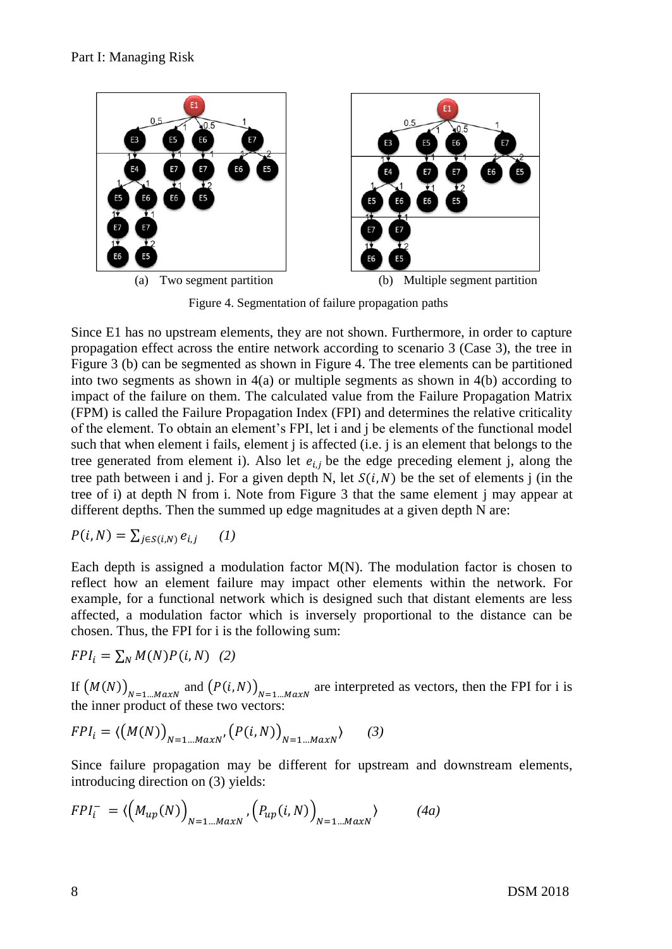

Figure 4. Segmentation of failure propagation paths

Since E1 has no upstream elements, they are not shown. Furthermore, in order to capture propagation effect across the entire network according to scenario 3 (Case 3), the tree in Figure 3 (b) can be segmented as shown in Figure 4. The tree elements can be partitioned into two segments as shown in  $4(a)$  or multiple segments as shown in  $4(b)$  according to impact of the failure on them. The calculated value from the Failure Propagation Matrix (FPM) is called the Failure Propagation Index (FPI) and determines the relative criticality of the element. To obtain an element's FPI, let i and j be elements of the functional model such that when element i fails, element j is affected (i.e. j is an element that belongs to the tree generated from element i). Also let  $e_{i,j}$  be the edge preceding element j, along the tree path between i and j. For a given depth N, let  $S(i, N)$  be the set of elements j (in the tree of i) at depth N from i. Note from Figure 3 that the same element j may appear at different depths. Then the summed up edge magnitudes at a given depth N are:

$$
P(i, N) = \sum_{j \in S(i, N)} e_{i,j} \qquad (1)
$$

Each depth is assigned a modulation factor  $M(N)$ . The modulation factor is chosen to reflect how an element failure may impact other elements within the network. For example, for a functional network which is designed such that distant elements are less affected, a modulation factor which is inversely proportional to the distance can be chosen. Thus, the FPI for i is the following sum:

$$
FPI_i = \sum_N M(N)P(i, N) \quad (2)
$$

If  $(M(N))_{N=1...MaxN}$  and  $(P(i, N))_{N=1...MaxN}$  are interpreted as vectors, then the FPI for i is the inner product of these two vectors:

$$
FPI_i = \langle \big(M(N)\big)_{N=1\ldots MaxN}, \big(P(i,N)\big)_{N=1\ldots MaxN}\rangle \qquad (3)
$$

Since failure propagation may be different for upstream and downstream elements, introducing direction on (3) yields:

$$
FPI_i^- = \langle \left( M_{up}(N) \right)_{N=1\ldots MaxN}, \left( P_{up}(i,N) \right)_{N=1\ldots MaxN} \rangle \tag{4a}
$$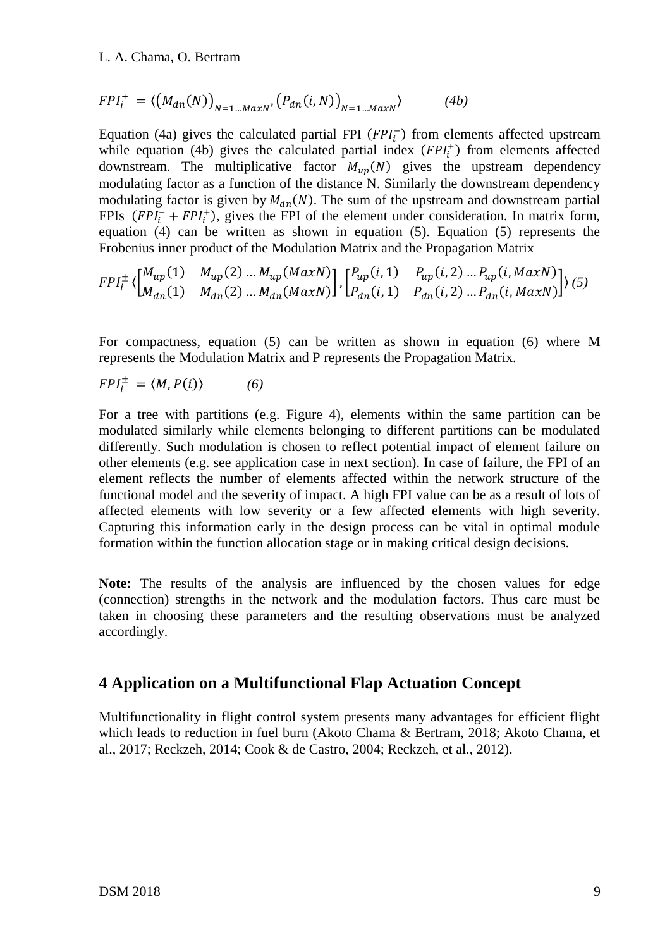$$
FPI_i^+ = \langle \left( M_{dn}(N) \right)_{N=1\ldots MAXN}, \left( P_{dn}(i,N) \right)_{N=1\ldots MAXN} \rangle \tag{4b}
$$

Equation (4a) gives the calculated partial FPI  $(FPI<sub>i</sub>)$  from elements affected upstream while equation (4b) gives the calculated partial index  $(FPI<sub>i</sub><sup>+</sup>)$  from elements affected downstream. The multiplicative factor  $M_{nm}(N)$  gives the upstream dependency modulating factor as a function of the distance N. Similarly the downstream dependency modulating factor is given by  $M_{dn}(N)$ . The sum of the upstream and downstream partial FPIs  $(FPI<sub>i</sub><sup>-</sup> + FPI<sub>i</sub><sup>+</sup>)$ , gives the FPI of the element under consideration. In matrix form, equation (4) can be written as shown in equation (5). Equation (5) represents the Frobenius inner product of the Modulation Matrix and the Propagation Matrix

$$
FPI_{i}^{\pm}\left\langle \begin{bmatrix} M_{up}(1) & M_{up}(2) \dots M_{up}(MaxN) \\ M_{dn}(1) & M_{dn}(2) \dots M_{dn}(MaxN) \end{bmatrix}, \begin{bmatrix} P_{up}(i,1) & P_{up}(i,2) \dots P_{up}(i,MaxN) \\ P_{dn}(i,1) & P_{dn}(i,2) \dots P_{dn}(i,MaxN) \end{bmatrix} \right\rangle (5)
$$

For compactness, equation (5) can be written as shown in equation (6) where M represents the Modulation Matrix and P represents the Propagation Matrix.

$$
FPI_i^{\pm} = \langle M, P(i) \rangle \tag{6}
$$

For a tree with partitions (e.g. Figure 4), elements within the same partition can be modulated similarly while elements belonging to different partitions can be modulated differently. Such modulation is chosen to reflect potential impact of element failure on other elements (e.g. see application case in next section). In case of failure, the FPI of an element reflects the number of elements affected within the network structure of the functional model and the severity of impact. A high FPI value can be as a result of lots of affected elements with low severity or a few affected elements with high severity. Capturing this information early in the design process can be vital in optimal module formation within the function allocation stage or in making critical design decisions.

**Note:** The results of the analysis are influenced by the chosen values for edge (connection) strengths in the network and the modulation factors. Thus care must be taken in choosing these parameters and the resulting observations must be analyzed accordingly.

#### **4 Application on a Multifunctional Flap Actuation Concept**

Multifunctionality in flight control system presents many advantages for efficient flight which leads to reduction in fuel burn (Akoto Chama & Bertram, 2018; Akoto Chama, et al., 2017; Reckzeh, 2014; Cook & de Castro, 2004; Reckzeh, et al., 2012).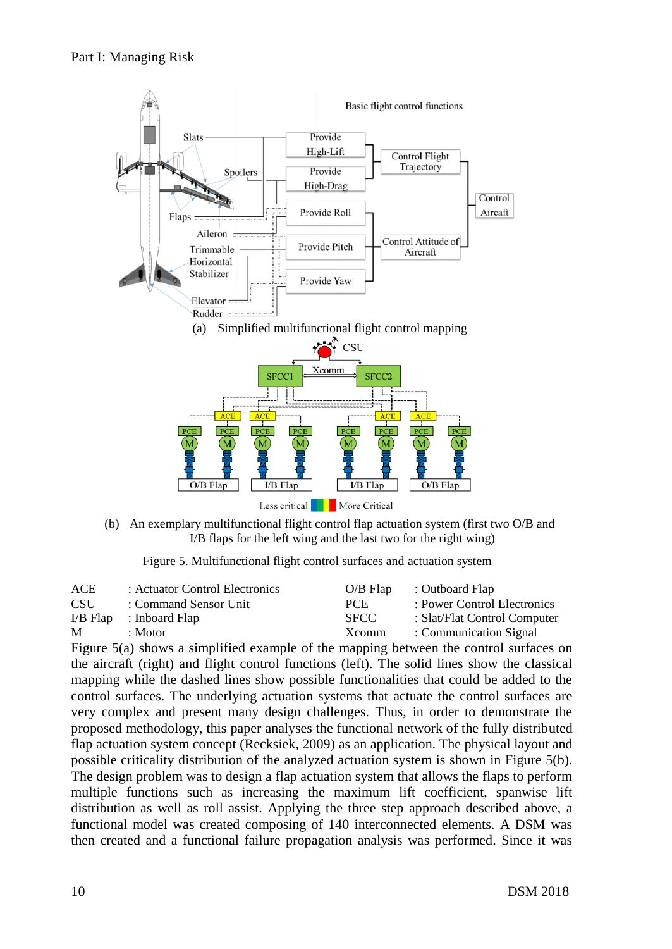

(b) An exemplary multifunctional flight control flap actuation system (first two O/B and I/B flaps for the left wing and the last two for the right wing)

Figure 5. Multifunctional flight control surfaces and actuation system

| ACE        | : Actuator Control Electronics | $O/B$ Flap        | : Outboard Flap              |
|------------|--------------------------------|-------------------|------------------------------|
| <b>CSU</b> | : Command Sensor Unit          | PCE.              | : Power Control Electronics  |
|            | $I/B$ Flap : Inboard Flap      | <b>SFCC</b>       | : Slat/Flat Control Computer |
| M          | : Motor                        | X <sub>comm</sub> | : Communication Signal       |

Figure 5(a) shows a simplified example of the mapping between the control surfaces on the aircraft (right) and flight control functions (left). The solid lines show the classical mapping while the dashed lines show possible functionalities that could be added to the control surfaces. The underlying actuation systems that actuate the control surfaces are very complex and present many design challenges. Thus, in order to demonstrate the proposed methodology, this paper analyses the functional network of the fully distributed flap actuation system concept (Recksiek, 2009) as an application. The physical layout and possible criticality distribution of the analyzed actuation system is shown in Figure 5(b). The design problem was to design a flap actuation system that allows the flaps to perform multiple functions such as increasing the maximum lift coefficient, spanwise lift distribution as well as roll assist. Applying the three step approach described above, a functional model was created composing of 140 interconnected elements. A DSM was then created and a functional failure propagation analysis was performed. Since it was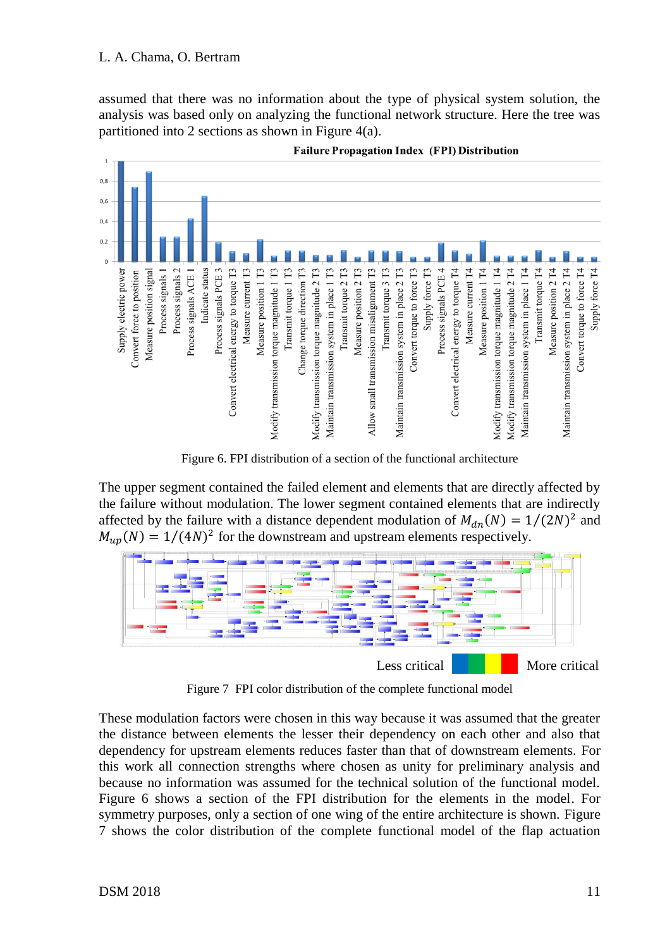assumed that there was no information about the type of physical system solution, the analysis was based only on analyzing the functional network structure. Here the tree was partitioned into 2 sections as shown in Figure 4(a).



**Failure Propagation Index (FPI) Distribution** 

Figure 6. FPI distribution of a section of the functional architecture

The upper segment contained the failed element and elements that are directly affected by the failure without modulation. The lower segment contained elements that are indirectly affected by the failure with a distance dependent modulation of  $M_{dn}(N) = 1/(2N)^2$  and  $M_{up}(N) = 1/(4N)^2$  for the downstream and upstream elements respectively.



Figure 7 FPI color distribution of the complete functional model

These modulation factors were chosen in this way because it was assumed that the greater the distance between elements the lesser their dependency on each other and also that dependency for upstream elements reduces faster than that of downstream elements. For this work all connection strengths where chosen as unity for preliminary analysis and because no information was assumed for the technical solution of the functional model. Figure 6 shows a section of the FPI distribution for the elements in the model. For symmetry purposes, only a section of one wing of the entire architecture is shown. Figure 7 shows the color distribution of the complete functional model of the flap actuation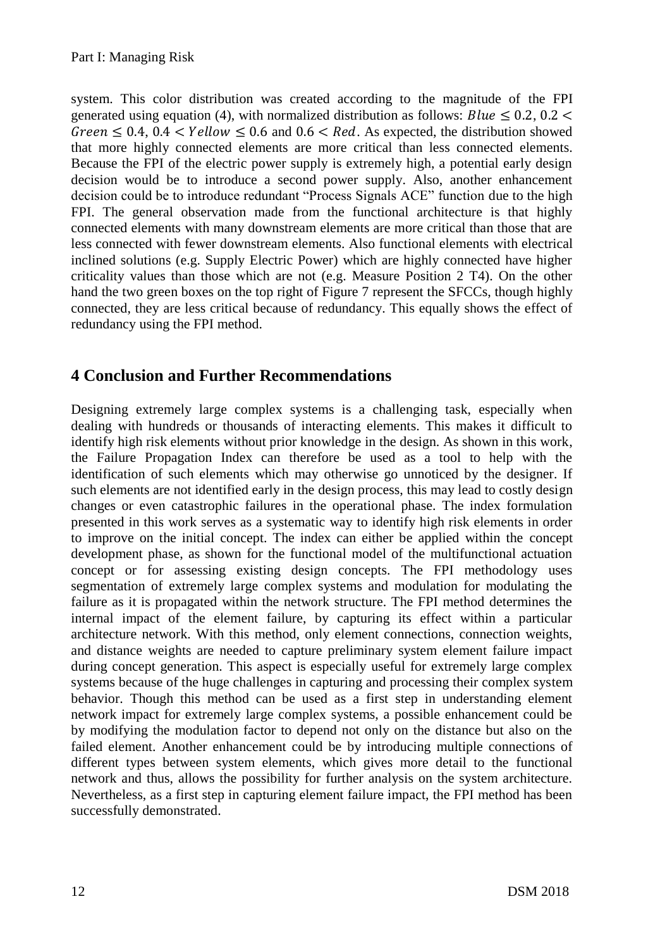system. This color distribution was created according to the magnitude of the FPI generated using equation (4), with normalized distribution as follows: Blue  $\leq 0.2$ , 0.2 <  $Green < 0.4$ ,  $0.4 < Yellow < 0.6$  and  $0.6 < Red$ . As expected, the distribution showed that more highly connected elements are more critical than less connected elements. Because the FPI of the electric power supply is extremely high, a potential early design decision would be to introduce a second power supply. Also, another enhancement decision could be to introduce redundant "Process Signals ACE" function due to the high FPI. The general observation made from the functional architecture is that highly connected elements with many downstream elements are more critical than those that are less connected with fewer downstream elements. Also functional elements with electrical inclined solutions (e.g. Supply Electric Power) which are highly connected have higher criticality values than those which are not (e.g. Measure Position 2 T4). On the other hand the two green boxes on the top right of Figure 7 represent the SFCCs, though highly connected, they are less critical because of redundancy. This equally shows the effect of redundancy using the FPI method.

### **4 Conclusion and Further Recommendations**

Designing extremely large complex systems is a challenging task, especially when dealing with hundreds or thousands of interacting elements. This makes it difficult to identify high risk elements without prior knowledge in the design. As shown in this work, the Failure Propagation Index can therefore be used as a tool to help with the identification of such elements which may otherwise go unnoticed by the designer. If such elements are not identified early in the design process, this may lead to costly design changes or even catastrophic failures in the operational phase. The index formulation presented in this work serves as a systematic way to identify high risk elements in order to improve on the initial concept. The index can either be applied within the concept development phase, as shown for the functional model of the multifunctional actuation concept or for assessing existing design concepts. The FPI methodology uses segmentation of extremely large complex systems and modulation for modulating the failure as it is propagated within the network structure. The FPI method determines the internal impact of the element failure, by capturing its effect within a particular architecture network. With this method, only element connections, connection weights, and distance weights are needed to capture preliminary system element failure impact during concept generation. This aspect is especially useful for extremely large complex systems because of the huge challenges in capturing and processing their complex system behavior. Though this method can be used as a first step in understanding element network impact for extremely large complex systems, a possible enhancement could be by modifying the modulation factor to depend not only on the distance but also on the failed element. Another enhancement could be by introducing multiple connections of different types between system elements, which gives more detail to the functional network and thus, allows the possibility for further analysis on the system architecture. Nevertheless, as a first step in capturing element failure impact, the FPI method has been successfully demonstrated.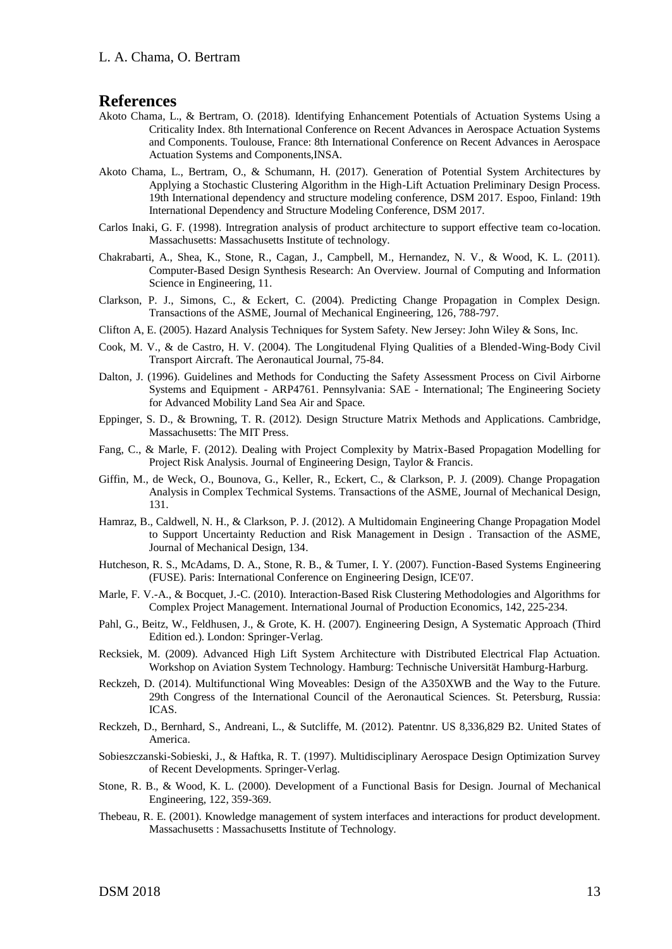#### **References**

- Akoto Chama, L., & Bertram, O. (2018). Identifying Enhancement Potentials of Actuation Systems Using a Criticality Index. 8th International Conference on Recent Advances in Aerospace Actuation Systems and Components. Toulouse, France: 8th International Conference on Recent Advances in Aerospace Actuation Systems and Components,INSA.
- Akoto Chama, L., Bertram, O., & Schumann, H. (2017). Generation of Potential System Architectures by Applying a Stochastic Clustering Algorithm in the High-Lift Actuation Preliminary Design Process. 19th International dependency and structure modeling conference, DSM 2017. Espoo, Finland: 19th International Dependency and Structure Modeling Conference, DSM 2017.
- Carlos Inaki, G. F. (1998). Intregration analysis of product architecture to support effective team co-location. Massachusetts: Massachusetts Institute of technology.
- Chakrabarti, A., Shea, K., Stone, R., Cagan, J., Campbell, M., Hernandez, N. V., & Wood, K. L. (2011). Computer-Based Design Synthesis Research: An Overview. Journal of Computing and Information Science in Engineering, 11.
- Clarkson, P. J., Simons, C., & Eckert, C. (2004). Predicting Change Propagation in Complex Design. Transactions of the ASME, Journal of Mechanical Engineering, 126, 788-797.
- Clifton A, E. (2005). Hazard Analysis Techniques for System Safety. New Jersey: John Wiley & Sons, Inc.
- Cook, M. V., & de Castro, H. V. (2004). The Longitudenal Flying Qualities of a Blended-Wing-Body Civil Transport Aircraft. The Aeronautical Journal, 75-84.
- Dalton, J. (1996). Guidelines and Methods for Conducting the Safety Assessment Process on Civil Airborne Systems and Equipment - ARP4761. Pennsylvania: SAE - International; The Engineering Society for Advanced Mobility Land Sea Air and Space.
- Eppinger, S. D., & Browning, T. R. (2012). Design Structure Matrix Methods and Applications. Cambridge, Massachusetts: The MIT Press.
- Fang, C., & Marle, F. (2012). Dealing with Project Complexity by Matrix-Based Propagation Modelling for Project Risk Analysis. Journal of Engineering Design, Taylor & Francis.
- Giffin, M., de Weck, O., Bounova, G., Keller, R., Eckert, C., & Clarkson, P. J. (2009). Change Propagation Analysis in Complex Techmical Systems. Transactions of the ASME, Journal of Mechanical Design, 131.
- Hamraz, B., Caldwell, N. H., & Clarkson, P. J. (2012). A Multidomain Engineering Change Propagation Model to Support Uncertainty Reduction and Risk Management in Design . Transaction of the ASME, Journal of Mechanical Design, 134.
- Hutcheson, R. S., McAdams, D. A., Stone, R. B., & Tumer, I. Y. (2007). Function-Based Systems Engineering (FUSE). Paris: International Conference on Engineering Design, ICE'07.
- Marle, F. V.-A., & Bocquet, J.-C. (2010). Interaction-Based Risk Clustering Methodologies and Algorithms for Complex Project Management. International Journal of Production Economics, 142, 225-234.
- Pahl, G., Beitz, W., Feldhusen, J., & Grote, K. H. (2007). Engineering Design, A Systematic Approach (Third Edition ed.). London: Springer-Verlag.
- Recksiek, M. (2009). Advanced High Lift System Architecture with Distributed Electrical Flap Actuation. Workshop on Aviation System Technology. Hamburg: Technische Universität Hamburg-Harburg.
- Reckzeh, D. (2014). Multifunctional Wing Moveables: Design of the A350XWB and the Way to the Future. 29th Congress of the International Council of the Aeronautical Sciences. St. Petersburg, Russia: ICAS.
- Reckzeh, D., Bernhard, S., Andreani, L., & Sutcliffe, M. (2012). Patentnr. US 8,336,829 B2. United States of America.
- Sobieszczanski-Sobieski, J., & Haftka, R. T. (1997). Multidisciplinary Aerospace Design Optimization Survey of Recent Developments. Springer-Verlag.
- Stone, R. B., & Wood, K. L. (2000). Development of a Functional Basis for Design. Journal of Mechanical Engineering, 122, 359-369.
- Thebeau, R. E. (2001). Knowledge management of system interfaces and interactions for product development. Massachusetts : Massachusetts Institute of Technology.